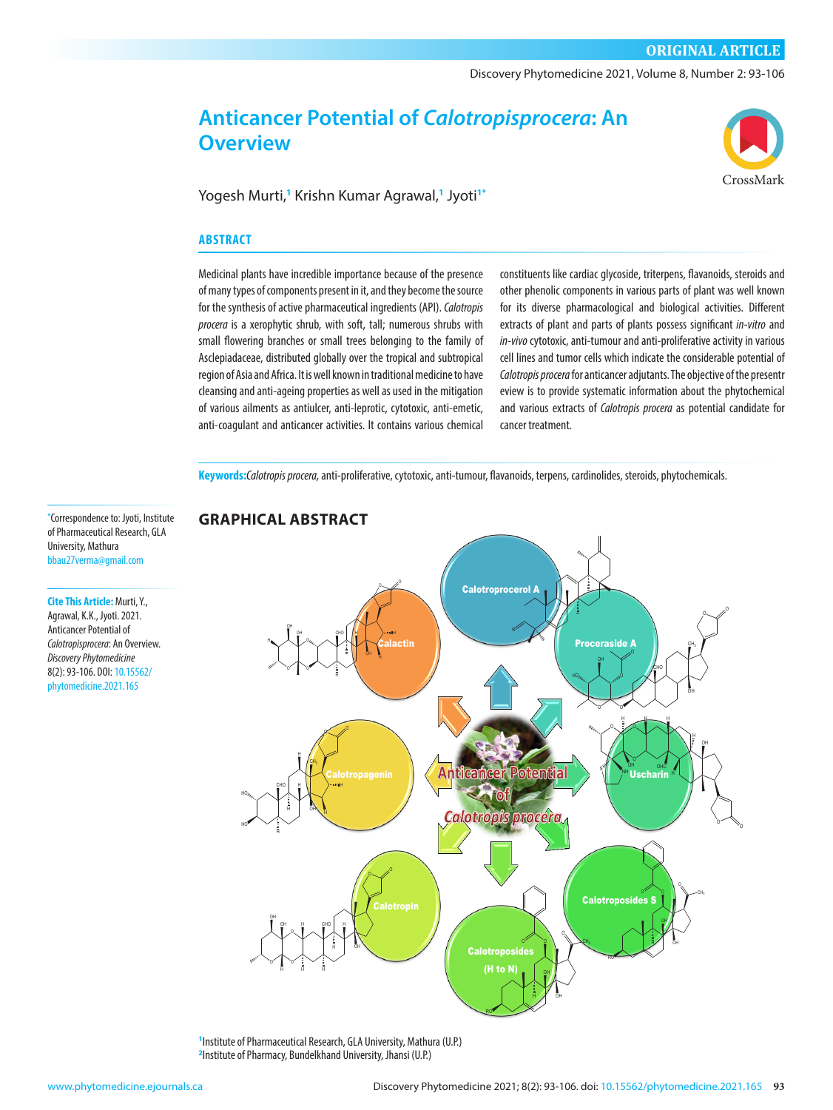## **ORIGINAL ARTICLE**

Discovery Phytomedicine 2021, Volume 8, Number 2: 93-106

# **Anticancer Potential of** *Calotropisprocera***: An Overview**



Yogesh Murti,**<sup>1</sup>** Krishn Kumar Agrawal,**<sup>1</sup>** Jyoti**1\***

#### **ABSTRACT**

Medicinal plants have incredible importance because of the presence of many types of components present in it, and they become the source for the synthesis of active pharmaceutical ingredients (API). *Calotropis procera* is a xerophytic shrub, with soft, tall; numerous shrubs with small flowering branches or small trees belonging to the family of Asclepiadaceae, distributed globally over the tropical and subtropical region of Asia and Africa. It is well known in traditional medicine to have cleansing and anti-ageing properties as well as used in the mitigation of various ailments as antiulcer, anti-leprotic, cytotoxic, anti-emetic, anti-coagulant and anticancer activities. It contains various chemical

constituents like cardiac glycoside, triterpens, flavanoids, steroids and other phenolic components in various parts of plant was well known for its diverse pharmacological and biological activities. Different extracts of plant and parts of plants possess significant *in-vitro* and *in-vivo* cytotoxic, anti-tumour and anti-proliferative activity in various cell lines and tumor cells which indicate the considerable potential of *Calotropis procera* for anticancer adjutants. The objective of the presentr eview is to provide systematic information about the phytochemical and various extracts of *Calotropis procera* as potential candidate for cancer treatment.

Keywords:*Calotropis procera,* anti-proliferative, cytotoxic, anti-tumour, flavanoids, terpens, cardinolides, steroids, phytochemicals.

**\*** Correspondence to: Jyoti, Institute of Pharmaceutical Research, GLA University, Mathura [bbau27verma@gmail.com](mailto:bbau27verma@gmail.com)

**Cite This Article:** Murti, Y., Agrawal, K.K., Jyoti. 2021. Anticancer Potential of *Calotropisprocera*: An Overview. *Discovery Phytomedicine*  8(2): 93-106. [DOI: 10.15562/](https://doi.org/10.15562/phytomedicine.2021.165) [phytomedicine.2021.165](https://doi.org/10.15562/phytomedicine.2021.165)



**1** Institute of Pharmaceutical Research, GLA University, Mathura (U.P.) **2** Institute of Pharmacy, Bundelkhand University, Jhansi (U.P.)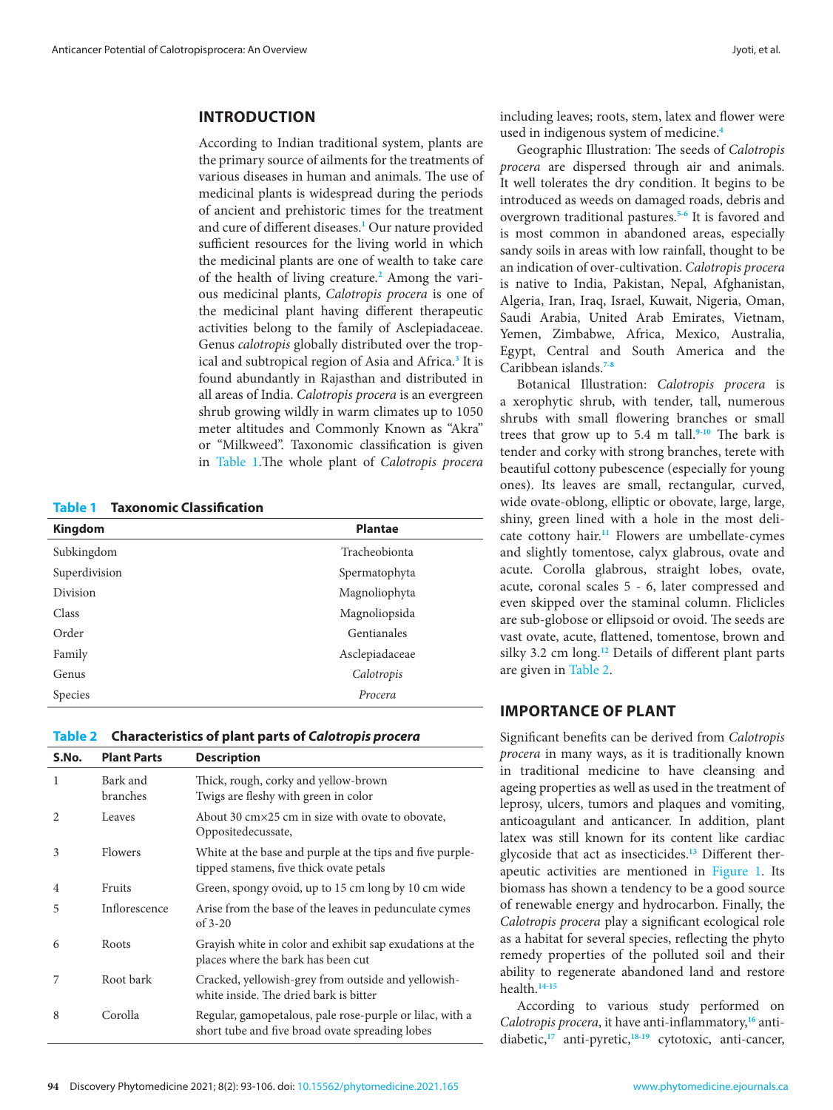## **INTRODUCTION**

According to Indian traditional system, plants are the primary source of ailments for the treatments of various diseases in human and animals. The use of medicinal plants is widespread during the periods of ancient and prehistoric times for the treatment and cure of different diseases.**[1](#page-11-0)** Our nature provided sufficient resources for the living world in which the medicinal plants are one of wealth to take care of the health of living creature.**[2](#page-11-0)** Among the various medicinal plants, *Calotropis procera* is one of the medicinal plant having different therapeutic activities belong to the family of Asclepiadaceae. Genus *calotropis* globally distributed over the tropical and subtropical region of Asia and Africa.**[3](#page-11-0)** It is found abundantly in Rajasthan and distributed in all areas of India. *Calotropis procera* is an evergreen shrub growing wildly in warm climates up to 1050 meter altitudes and Commonly Known as "Akra" or "Milkweed". Taxonomic classification is given in Table 1.The whole plant of *Calotropis procera*

**Table 1 Taxonomic Classification**

| <b>Kingdom</b> | <b>Plantae</b> |
|----------------|----------------|
| Subkingdom     | Tracheobionta  |
| Superdivision  | Spermatophyta  |
| Division       | Magnoliophyta  |
| Class          | Magnoliopsida  |
| Order          | Gentianales    |
| Family         | Asclepiadaceae |
| Genus          | Calotropis     |
| Species        | Procera        |

#### **Table 2 Characteristics of plant parts of** *Calotropis procera*

| S.No.                         | <b>Plant Parts</b>   | <b>Description</b>                                                                                          |
|-------------------------------|----------------------|-------------------------------------------------------------------------------------------------------------|
| 1                             | Bark and<br>branches | Thick, rough, corky and yellow-brown<br>Twigs are fleshy with green in color                                |
| $\mathfrak{D}_{\mathfrak{p}}$ | Leaves               | About 30 cm×25 cm in size with ovate to obovate,<br>Oppositedecussate,                                      |
| 3                             | <b>Flowers</b>       | White at the base and purple at the tips and five purple-<br>tipped stamens, five thick ovate petals        |
| $\overline{4}$                | Fruits               | Green, spongy ovoid, up to 15 cm long by 10 cm wide                                                         |
| 5                             | Inflorescence        | Arise from the base of the leaves in pedunculate cymes<br>of $3-20$                                         |
| 6                             | Roots                | Grayish white in color and exhibit sap exudations at the<br>places where the bark has been cut              |
| 7                             | Root bark            | Cracked, yellowish-grey from outside and yellowish-<br>white inside. The dried bark is bitter               |
| 8                             | Corolla              | Regular, gamopetalous, pale rose-purple or lilac, with a<br>short tube and five broad ovate spreading lobes |

including leaves; roots, stem, latex and flower were used in indigenous system of medicine.**[4](#page-11-0)**

Geographic Illustration: The seeds of *Calotropis procera* are dispersed through air and animals. It well tolerates the dry condition. It begins to be introduced as weeds on damaged roads, debris and overgrown traditional pastures.**[5-6](#page-11-0)** It is favored and is most common in abandoned areas, especially sandy soils in areas with low rainfall, thought to be an indication of over-cultivation. *Calotropis procera*  is native to India, Pakistan, Nepal, Afghanistan, Algeria, Iran, Iraq, Israel, Kuwait, Nigeria, Oman, Saudi Arabia, United Arab Emirates, Vietnam, Yemen, Zimbabwe, Africa, Mexico, Australia, Egypt, Central and South America and the Caribbean islands.**[7-8](#page-11-0)**

Botanical Illustration: *Calotropis procera* is a xerophytic shrub, with tender, tall, numerous shrubs with small flowering branches or small trees that grow up to 5.4 m tall.**[9-10](#page-11-0)** The bark is tender and corky with strong branches, terete with beautiful cottony pubescence (especially for young ones). Its leaves are small, rectangular, curved, wide ovate-oblong, elliptic or obovate, large, large, shiny, green lined with a hole in the most delicate cottony hair.**[11](#page-11-0)** Flowers are umbellate-cymes and slightly tomentose, calyx glabrous, ovate and acute. Corolla glabrous, straight lobes, ovate, acute, coronal scales 5 - 6, later compressed and even skipped over the staminal column. Fliclicles are sub-globose or ellipsoid or ovoid. The seeds are vast ovate, acute, flattened, tomentose, brown and silky 3.2 cm long.**[12](#page-11-0)** Details of different plant parts are given in Table 2.

## **IMPORTANCE OF PLANT**

Significant benefits can be derived from *Calotropis procera* in many ways, as it is traditionally known in traditional medicine to have cleansing and ageing properties as well as used in the treatment of leprosy, ulcers, tumors and plaques and vomiting, anticoagulant and anticancer. In addition, plant latex was still known for its content like cardiac glycoside that act as insecticides.**[13](#page-11-0)** Different therapeutic activities are mentioned in [Figure 1.](#page-2-0) Its biomass has shown a tendency to be a good source of renewable energy and hydrocarbon. Finally, the *Calotropis procera* play a significant ecological role as a habitat for several species, reflecting the phyto remedy properties of the polluted soil and their ability to regenerate abandoned land and restore health.**[14-15](#page-11-0)**

According to various study performed on *Calotropis procera*, it have anti- inflammatory,**[16](#page-11-0)** antidiabetic,**[17](#page-11-0)** anti-pyretic,**[18-19](#page-11-0)** cytotoxic, anti-cancer,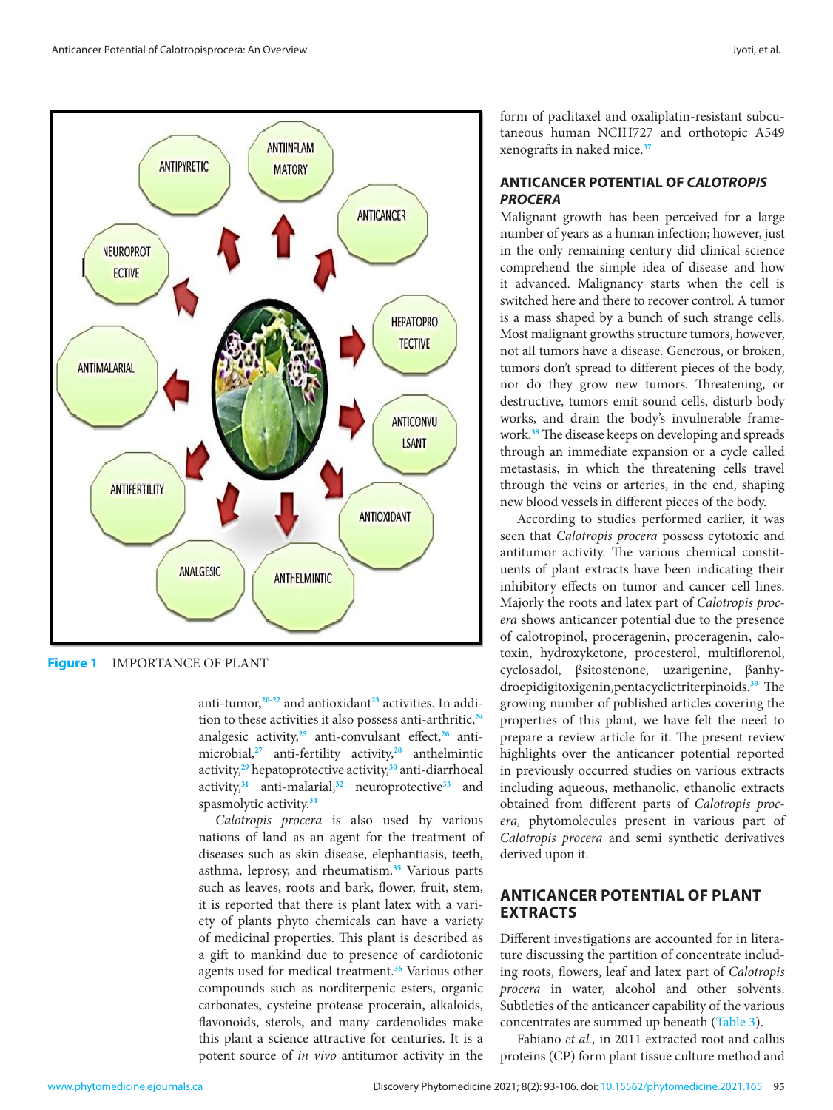<span id="page-2-0"></span>

**Figure 1** IMPORTANCE OF PLANT

anti-tumor,**[20-22](#page-11-0)** and antioxidant**[23](#page-11-0)** activities. In addition to these activities it also possess anti-arthritic,**[24](#page-11-0)** analgesic activity,**[25](#page-11-0)** anti-convulsant effect,**[26](#page-11-0)** antimicrobial,**[27](#page-11-0)** anti-fertility activity,**[28](#page-11-0)** anthelmintic activity,**[29](#page-11-0)** hepatoprotective activity,**[30](#page-11-0)** anti-diarrhoeal activity,**[31](#page-11-0)** anti-malarial,**[32](#page-11-0)** neuroprotective**[33](#page-11-0)** and spasmolytic activity.**[34](#page-11-0)**

*Calotropis procera* is also used by various nations of land as an agent for the treatment of diseases such as skin disease, elephantiasis, teeth, asthma, leprosy, and rheumatism.**[35](#page-12-0)** Various parts such as leaves, roots and bark, flower, fruit, stem, it is reported that there is plant latex with a variety of plants phyto chemicals can have a variety of medicinal properties. This plant is described as a gift to mankind due to presence of cardiotonic agents used for medical treatment.**[36](#page-12-0)** Various other compounds such as norditerpenic esters, organic carbonates, cysteine protease procerain, alkaloids, flavonoids, sterols, and many cardenolides make this plant a science attractive for centuries. It is a potent source of *in vivo* antitumor activity in the

form of paclitaxel and oxaliplatin-resistant subcutaneous human NCIH727 and orthotopic A549 xenografts in naked mice.**[37](#page-12-0)**

## **ANTICANCER POTENTIAL OF** *CALOTROPIS PROCERA*

Malignant growth has been perceived for a large number of years as a human infection; however, just in the only remaining century did clinical science comprehend the simple idea of disease and how it advanced. Malignancy starts when the cell is switched here and there to recover control. A tumor is a mass shaped by a bunch of such strange cells. Most malignant growths structure tumors, however, not all tumors have a disease. Generous, or broken, tumors don't spread to different pieces of the body, nor do they grow new tumors. Threatening, or destructive, tumors emit sound cells, disturb body works, and drain the body's invulnerable framework.**[38](#page-12-0)** The disease keeps on developing and spreads through an immediate expansion or a cycle called metastasis, in which the threatening cells travel through the veins or arteries, in the end, shaping new blood vessels in different pieces of the body.

According to studies performed earlier, it was seen that *Calotropis procera* possess cytotoxic and antitumor activity. The various chemical constituents of plant extracts have been indicating their inhibitory effects on tumor and cancer cell lines. Majorly the roots and latex part of *Calotropis procera* shows anticancer potential due to the presence of calotropinol, proceragenin, proceragenin, calotoxin, hydroxyketone, procesterol, multiflorenol, cyclosadol, βsitostenone, uzarigenine, βanhydroepidigitoxigenin,pentacyclictriterpinoids.**[39](#page-12-0)** The growing number of published articles covering the properties of this plant, we have felt the need to prepare a review article for it. The present review highlights over the anticancer potential reported in previously occurred studies on various extracts including aqueous, methanolic, ethanolic extracts obtained from different parts of *Calotropis procera,* phytomolecules present in various part of *Calotropis procera* and semi synthetic derivatives derived upon it.

# **ANTICANCER POTENTIAL OF PLANT EXTRACTS**

Different investigations are accounted for in literature discussing the partition of concentrate including roots, flowers, leaf and latex part of *Calotropis procera* in water, alcohol and other solvents. Subtleties of the anticancer capability of the various concentrates are summed up beneath [\(Table 3\)](#page-3-0).

Fabiano *et al.,* in 2011 extracted root and callus proteins (CP) form plant tissue culture method and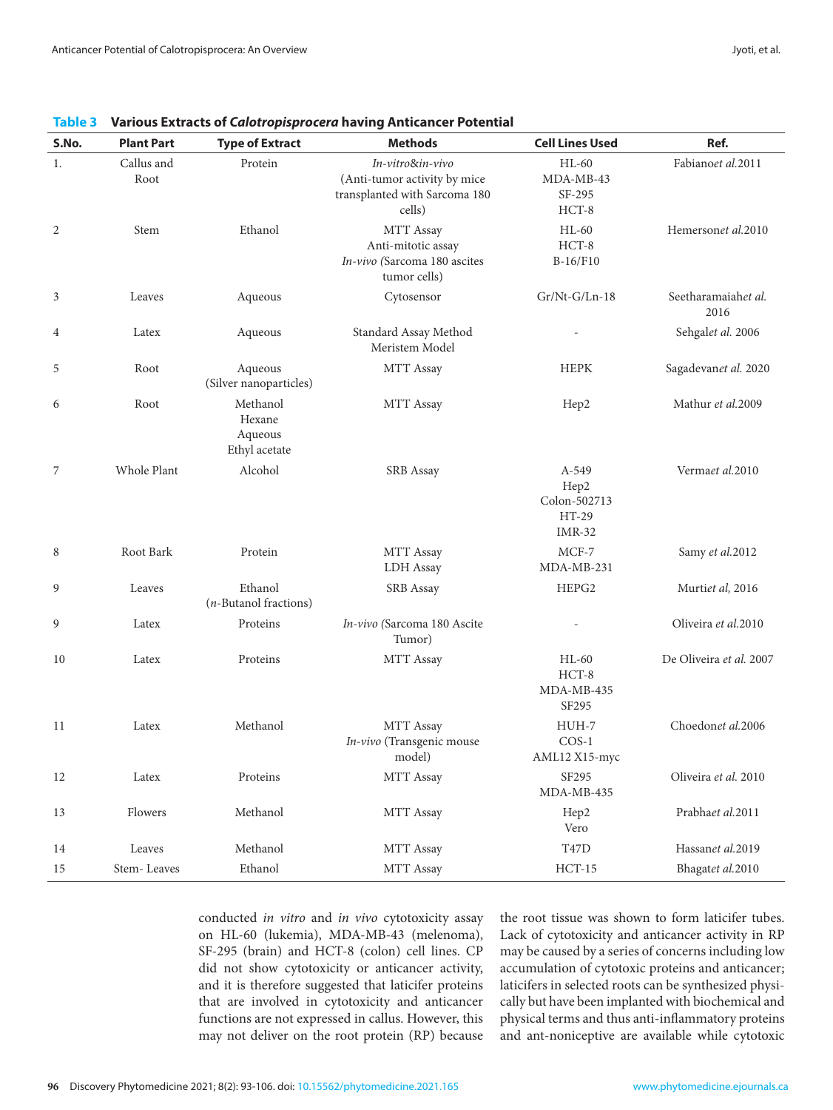| S.No.          | <b>Plant Part</b>  | <b>Type of Extract</b>                         | <b>Methods</b>                                                                              | <b>Cell Lines Used</b>                                    | Ref.                        |
|----------------|--------------------|------------------------------------------------|---------------------------------------------------------------------------------------------|-----------------------------------------------------------|-----------------------------|
| 1.             | Callus and<br>Root | Protein                                        | In-vitro&in-vivo<br>(Anti-tumor activity by mice<br>transplanted with Sarcoma 180<br>cells) | $HL-60$<br>MDA-MB-43<br>SF-295<br>HCT-8                   | Fabianoet al.2011           |
| $\overline{2}$ | Stem               | Ethanol                                        | MTT Assay<br>Anti-mitotic assay<br>In-vivo (Sarcoma 180 ascites<br>tumor cells)             | $HL-60$<br>$HCT-8$<br>B-16/F10                            | Hemersonet al.2010          |
| 3              | Leaves             | Aqueous                                        | Cytosensor                                                                                  | $Gr/Nt-G/Ln-18$                                           | Seetharamaiahet al.<br>2016 |
| 4              | Latex              | Aqueous                                        | Standard Assay Method<br>Meristem Model                                                     |                                                           | Sehgalet al. 2006           |
| 5              | Root               | Aqueous<br>(Silver nanoparticles)              | MTT Assay                                                                                   | <b>HEPK</b>                                               | Sagadevanet al. 2020        |
| 6              | Root               | Methanol<br>Hexane<br>Aqueous<br>Ethyl acetate | MTT Assay                                                                                   | Hep2                                                      | Mathur et al.2009           |
| 7              | Whole Plant        | Alcohol                                        | SRB Assay                                                                                   | A-549<br>Hep2<br>Colon-502713<br>$HT-29$<br><b>IMR-32</b> | Vermaet al.2010             |
| 8              | Root Bark          | Protein                                        | MTT Assay<br>LDH Assay                                                                      | MCF-7<br>MDA-MB-231                                       | Samy et al.2012             |
| 9              | Leaves             | Ethanol<br>(n-Butanol fractions)               | <b>SRB</b> Assay                                                                            | HEPG2                                                     | Murtiet al, 2016            |
| 9              | Latex              | Proteins                                       | In-vivo (Sarcoma 180 Ascite<br>Tumor)                                                       |                                                           | Oliveira et al.2010         |
| 10             | Latex              | Proteins                                       | MTT Assay                                                                                   | $HL-60$<br>HCT-8<br>MDA-MB-435<br>SF295                   | De Oliveira et al. 2007     |
| 11             | Latex              | Methanol                                       | MTT Assay<br>In-vivo (Transgenic mouse<br>model)                                            | HUH-7<br>$COS-1$<br>AML12 X15-myc                         | Choedonet al.2006           |
| 12             | Latex              | Proteins                                       | MTT Assay                                                                                   | SF295<br>MDA-MB-435                                       | Oliveira et al. 2010        |
| 13             | Flowers            | Methanol                                       | MTT Assay                                                                                   | Hep2<br>Vero                                              | Prabhaet al.2011            |
| 14             | Leaves             | Methanol                                       | MTT Assay                                                                                   | $\operatorname{T47D}$                                     | Hassanet al.2019            |
| 15             | Stem-Leaves        | Ethanol                                        | MTT Assay                                                                                   | $HCT-15$                                                  | Bhagatet al.2010            |

<span id="page-3-0"></span>**Table 3 Various Extracts of** *Calotropisprocera* **having Anticancer Potential**

conducted *in vitro* and *in vivo* cytotoxicity assay on HL-60 (lukemia), MDA-MB-43 (melenoma), SF-295 (brain) and HCT-8 (colon) cell lines. CP did not show cytotoxicity or anticancer activity, and it is therefore suggested that laticifer proteins that are involved in cytotoxicity and anticancer functions are not expressed in callus. However, this may not deliver on the root protein (RP) because

the root tissue was shown to form laticifer tubes. Lack of cytotoxicity and anticancer activity in RP may be caused by a series of concerns including low accumulation of cytotoxic proteins and anticancer; laticifers in selected roots can be synthesized physically but have been implanted with biochemical and physical terms and thus anti-inflammatory proteins and ant-noniceptive are available while cytotoxic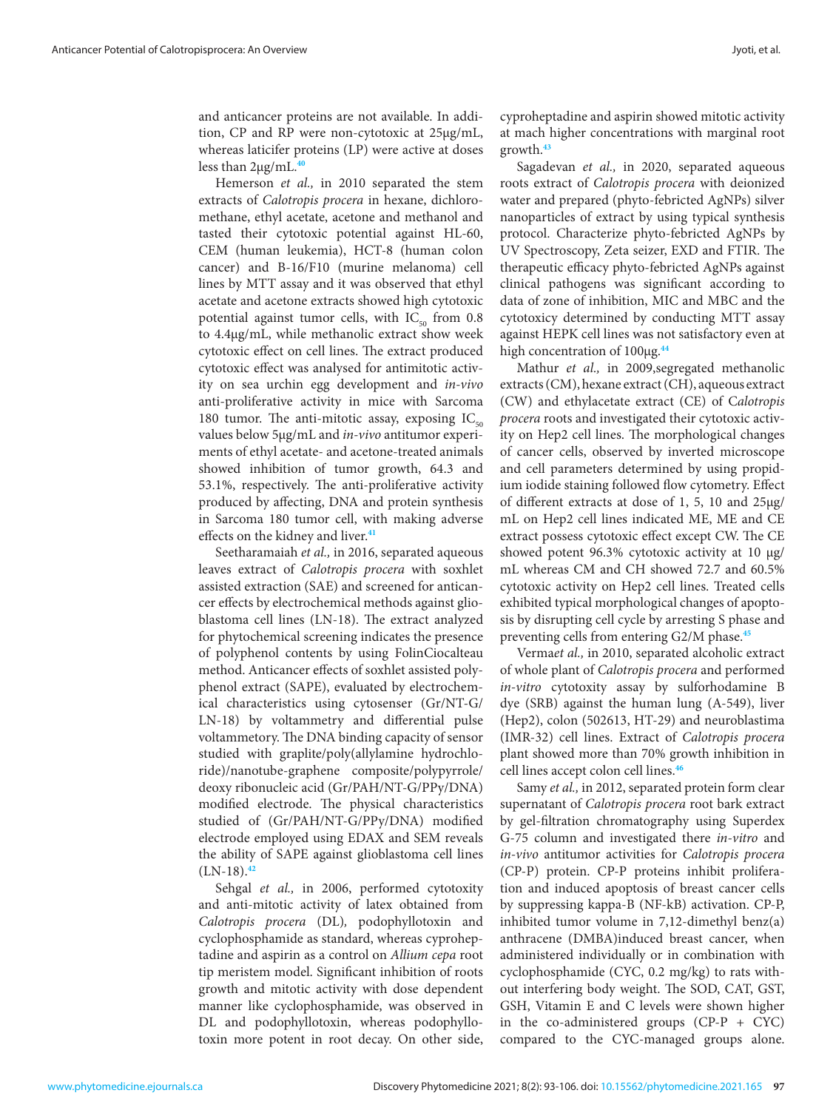and anticancer proteins are not available. In addition, CP and RP were non-cytotoxic at 25μg/mL, whereas laticifer proteins (LP) were active at doses less than 2μg/mL.**[40](#page-12-0)**

Hemerson *et al.,* in 2010 separated the stem extracts of *Calotropis procera* in hexane, dichloromethane, ethyl acetate, acetone and methanol and tasted their cytotoxic potential against HL-60, CEM (human leukemia), HCT-8 (human colon cancer) and B-16/F10 (murine melanoma) cell lines by MTT assay and it was observed that ethyl acetate and acetone extracts showed high cytotoxic potential against tumor cells, with  $IC_{50}$  from 0.8 to 4.4μg/mL, while methanolic extract show week cytotoxic effect on cell lines. The extract produced cytotoxic effect was analysed for antimitotic activity on sea urchin egg development and *in-vivo* anti-proliferative activity in mice with Sarcoma 180 tumor. The anti-mitotic assay, exposing  $IC_{50}$ values below 5μg/mL and *in-vivo* antitumor experiments of ethyl acetate- and acetone-treated animals showed inhibition of tumor growth, 64.3 and 53.1%, respectively. The anti-proliferative activity produced by affecting, DNA and protein synthesis in Sarcoma 180 tumor cell, with making adverse effects on the kidney and liver.**[41](#page-12-0)**

Seetharamaiah *et al.,* in 2016, separated aqueous leaves extract of *Calotropis procera* with soxhlet assisted extraction (SAE) and screened for anticancer effects by electrochemical methods against glioblastoma cell lines (LN-18). The extract analyzed for phytochemical screening indicates the presence of polyphenol contents by using FolinCiocalteau method. Anticancer effects of soxhlet assisted polyphenol extract (SAPE), evaluated by electrochemical characteristics using cytosenser (Gr/NT-G/ LN-18) by voltammetry and differential pulse voltammetory. The DNA binding capacity of sensor studied with graplite/poly(allylamine hydrochloride)/nanotube-graphene composite/polypyrrole/ deoxy ribonucleic acid (Gr/PAH/NT-G/PPy/DNA) modified electrode. The physical characteristics studied of (Gr/PAH/NT-G/PPy/DNA) modified electrode employed using EDAX and SEM reveals the ability of SAPE against glioblastoma cell lines (LN-18).**[42](#page-12-0)**

Sehgal *et al.,* in 2006, performed cytotoxity and anti-mitotic activity of latex obtained from *Calotropis procera* (DL)*,* podophyllotoxin and cyclophosphamide as standard, whereas cyproheptadine and aspirin as a control on *Allium cepa* root tip meristem model. Significant inhibition of roots growth and mitotic activity with dose dependent manner like cyclophosphamide, was observed in DL and podophyllotoxin, whereas podophyllotoxin more potent in root decay. On other side,

cyproheptadine and aspirin showed mitotic activity at mach higher concentrations with marginal root growth.**[43](#page-12-0)**

Sagadevan *et al.,* in 2020, separated aqueous roots extract of *Calotropis procera* with deionized water and prepared (phyto-febricted AgNPs) silver nanoparticles of extract by using typical synthesis protocol. Characterize phyto-febricted AgNPs by UV Spectroscopy, Zeta seizer, EXD and FTIR. The therapeutic efficacy phyto-febricted AgNPs against clinical pathogens was significant according to data of zone of inhibition, MIC and MBC and the cytotoxicy determined by conducting MTT assay against HEPK cell lines was not satisfactory even at high concentration of 100µg.<sup>[44](#page-12-0)</sup>

Mathur *et al.,* in 2009,segregated methanolic extracts (CM), hexane extract (CH), aqueous extract (CW) and ethylacetate extract (CE) of C*alotropis procera* roots and investigated their cytotoxic activity on Hep2 cell lines. The morphological changes of cancer cells, observed by inverted microscope and cell parameters determined by using propidium iodide staining followed flow cytometry. Effect of different extracts at dose of 1, 5, 10 and 25μg/ mL on Hep2 cell lines indicated ME, ME and CE extract possess cytotoxic effect except CW. The CE showed potent 96.3% cytotoxic activity at 10 μg/ mL whereas CM and CH showed 72.7 and 60.5% cytotoxic activity on Hep2 cell lines. Treated cells exhibited typical morphological changes of apoptosis by disrupting cell cycle by arresting S phase and preventing cells from entering G2/M phase.**[45](#page-12-0)**

Verma*et al.,* in 2010, separated alcoholic extract of whole plant of *Calotropis procera* and performed *in-vitro* cytotoxity assay by sulforhodamine B dye (SRB) against the human lung (A-549), liver (Hep2), colon (502613, HT-29) and neuroblastima (IMR-32) cell lines. Extract of *Calotropis procera*  plant showed more than 70% growth inhibition in cell lines accept colon cell lines.**[46](#page-12-0)**

Samy *et al.,* in 2012, separated protein form clear supernatant of *Calotropis procera* root bark extract by gel-filtration chromatography using Superdex G-75 column and investigated there *in-vitro* and *in-vivo* antitumor activities for *Calotropis procera*  (CP-P) protein. CP-P proteins inhibit proliferation and induced apoptosis of breast cancer cells by suppressing kappa-B (NF-kB) activation. CP-P, inhibited tumor volume in 7,12-dimethyl benz(a) anthracene (DMBA)induced breast cancer, when administered individually or in combination with cyclophosphamide (CYC, 0.2 mg/kg) to rats without interfering body weight. The SOD, CAT, GST, GSH, Vitamin E and C levels were shown higher in the co-administered groups ( $CP-P + CYC$ ) compared to the CYC-managed groups alone.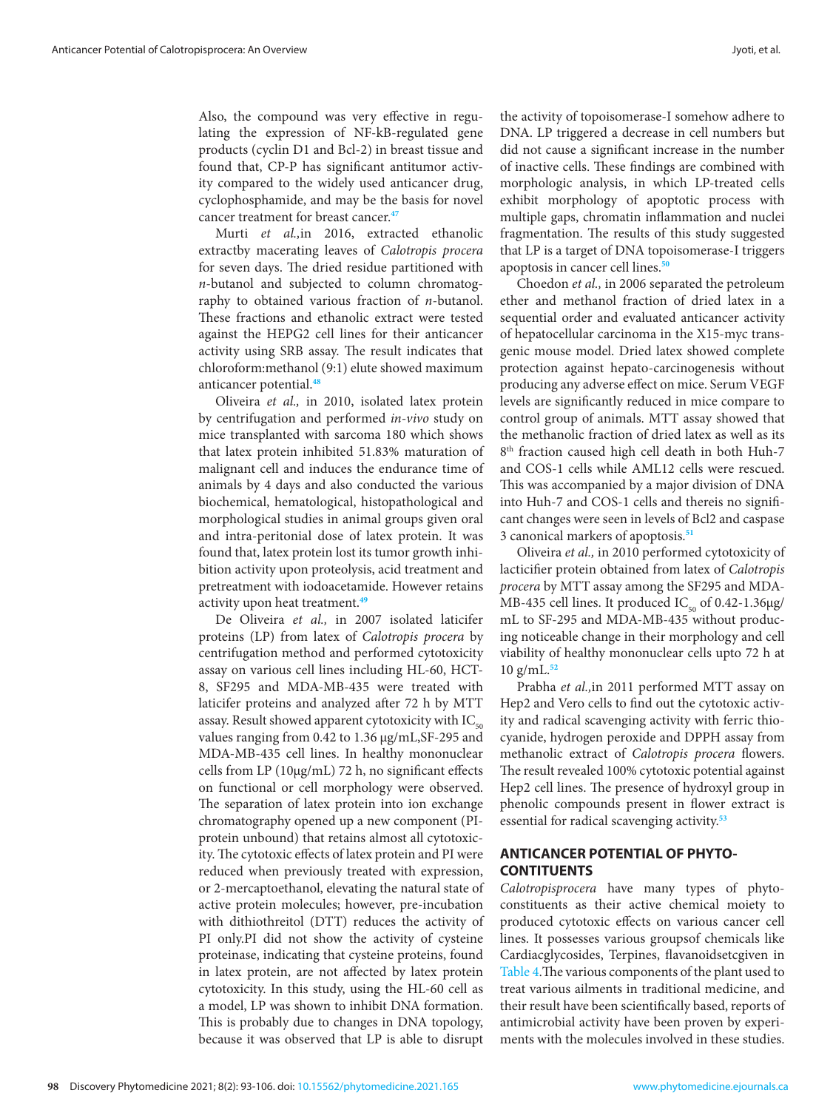Also, the compound was very effective in regulating the expression of NF-kB-regulated gene products (cyclin D1 and Bcl-2) in breast tissue and found that, CP-P has significant antitumor activity compared to the widely used anticancer drug, cyclophosphamide, and may be the basis for novel cancer treatment for breast cancer.**[47](#page-12-0)**

Murti *et al.,*in 2016, extracted ethanolic extractby macerating leaves of *Calotropis procera*  for seven days. The dried residue partitioned with *n*-butanol and subjected to column chromatography to obtained various fraction of *n*-butanol. These fractions and ethanolic extract were tested against the HEPG2 cell lines for their anticancer activity using SRB assay. The result indicates that chloroform:methanol (9:1) elute showed maximum anticancer potential.**[48](#page-12-0)**

Oliveira *et al.,* in 2010, isolated latex protein by centrifugation and performed *in-vivo* study on mice transplanted with sarcoma 180 which shows that latex protein inhibited 51.83% maturation of malignant cell and induces the endurance time of animals by 4 days and also conducted the various biochemical, hematological, histopathological and morphological studies in animal groups given oral and intra-peritonial dose of latex protein. It was found that, latex protein lost its tumor growth inhibition activity upon proteolysis, acid treatment and pretreatment with iodoacetamide. However retains activity upon heat treatment.**[49](#page-12-0)**

De Oliveira *et al.,* in 2007 isolated laticifer proteins (LP) from latex of *Calotropis procera* by centrifugation method and performed cytotoxicity assay on various cell lines including HL-60, HCT-8, SF295 and MDA-MB-435 were treated with laticifer proteins and analyzed after 72 h by MTT assay. Result showed apparent cytotoxicity with  $IC_{50}$ values ranging from 0.42 to 1.36 μg/mL,SF-295 and MDA-MB-435 cell lines. In healthy mononuclear cells from LP (10μg/mL) 72 h, no significant effects on functional or cell morphology were observed. The separation of latex protein into ion exchange chromatography opened up a new component (PIprotein unbound) that retains almost all cytotoxicity. The cytotoxic effects of latex protein and PI were reduced when previously treated with expression, or 2-mercaptoethanol, elevating the natural state of active protein molecules; however, pre-incubation with dithiothreitol (DTT) reduces the activity of PI only.PI did not show the activity of cysteine proteinase, indicating that cysteine proteins, found in latex protein, are not affected by latex protein cytotoxicity. In this study, using the HL-60 cell as a model, LP was shown to inhibit DNA formation. This is probably due to changes in DNA topology, because it was observed that LP is able to disrupt

the activity of topoisomerase-I somehow adhere to DNA. LP triggered a decrease in cell numbers but did not cause a significant increase in the number of inactive cells. These findings are combined with morphologic analysis, in which LP-treated cells exhibit morphology of apoptotic process with multiple gaps, chromatin inflammation and nuclei fragmentation. The results of this study suggested that LP is a target of DNA topoisomerase-I triggers apoptosis in cancer cell lines.**[50](#page-12-0)**

Choedon *et al.,* in 2006 separated the petroleum ether and methanol fraction of dried latex in a sequential order and evaluated anticancer activity of hepatocellular carcinoma in the X15-myc transgenic mouse model. Dried latex showed complete protection against hepato-carcinogenesis without producing any adverse effect on mice. Serum VEGF levels are significantly reduced in mice compare to control group of animals. MTT assay showed that the methanolic fraction of dried latex as well as its 8<sup>th</sup> fraction caused high cell death in both Huh-7 and COS-1 cells while AML12 cells were rescued. This was accompanied by a major division of DNA into Huh-7 and COS-1 cells and thereis no significant changes were seen in levels of Bcl2 and caspase 3 canonical markers of apoptosis.**[51](#page-12-0)**

Oliveira *et al.,* in 2010 performed cytotoxicity of lacticifier protein obtained from latex of *Calotropis procera* by MTT assay among the SF295 and MDA-MB-435 cell lines. It produced  $IC_{50}$  of 0.42-1.36μg/ mL to SF-295 and MDA-MB-435 without producing noticeable change in their morphology and cell viability of healthy mononuclear cells upto 72 h at 10 g/mL.**[52](#page-12-0)**

Prabha *et al.,*in 2011 performed MTT assay on Hep2 and Vero cells to find out the cytotoxic activity and radical scavenging activity with ferric thiocyanide, hydrogen peroxide and DPPH assay from methanolic extract of *Calotropis procera* flowers. The result revealed 100% cytotoxic potential against Hep2 cell lines. The presence of hydroxyl group in phenolic compounds present in flower extract is essential for radical scavenging activity.**[53](#page-12-0)**

## **ANTICANCER POTENTIAL OF PHYTO-CONTITUENTS**

*Calotropisprocera* have many types of phytoconstituents as their active chemical moiety to produced cytotoxic effects on various cancer cell lines. It possesses various groupsof chemicals like Cardiacglycosides, Terpines, flavanoidsetcgiven in [Table 4](#page-6-0).The various components of the plant used to treat various ailments in traditional medicine, and their result have been scientifically based, reports of antimicrobial activity have been proven by experiments with the molecules involved in these studies.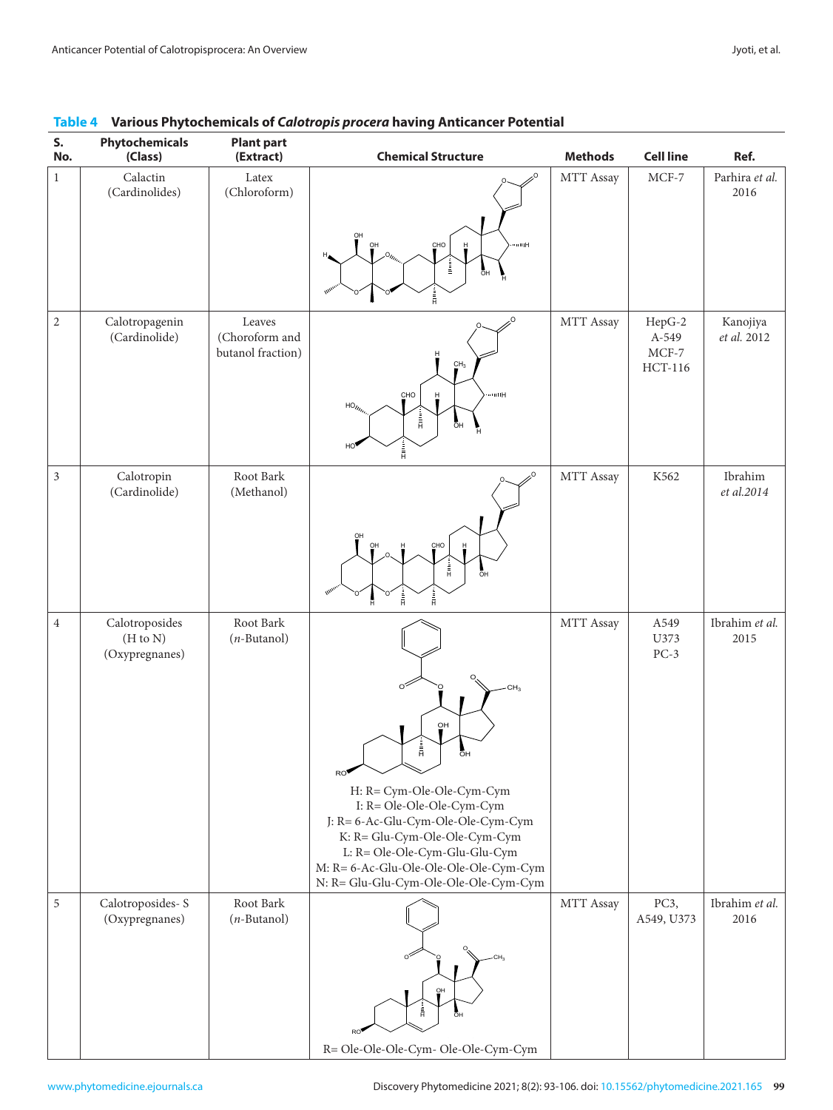| S.<br>No.      | Phytochemicals<br>(Class)                    | <b>Plant part</b><br>(Extract)                | <b>Chemical Structure</b>                                                                                                                                                                                                                         | <b>Methods</b> | <b>Cell line</b>                      | Ref.                    |
|----------------|----------------------------------------------|-----------------------------------------------|---------------------------------------------------------------------------------------------------------------------------------------------------------------------------------------------------------------------------------------------------|----------------|---------------------------------------|-------------------------|
| $\mathbf{1}$   | Calactin<br>(Cardinolides)                   | Latex<br>(Chloroform)                         | $\Omega$                                                                                                                                                                                                                                          | MTT Assay      | $MCF-7$                               | Parhira et al.<br>2016  |
|                |                                              |                                               | QH<br>CHO<br>om⊞<br>н<br>Ì.<br>öн                                                                                                                                                                                                                 |                |                                       |                         |
| $\overline{2}$ | Calotropagenin<br>(Cardinolide)              | Leaves<br>(Choroform and<br>butanol fraction) | CH <sub>3</sub><br>oone<br>CHO<br>H<br>$HO_{\ell_{\ell_{\ell_{\ell}}}}$<br>$\frac{1}{H}$<br>ōн                                                                                                                                                    | MTT Assay      | HepG-2<br>A-549<br>$MCF-7$<br>HCT-116 | Kanojiya<br>et al. 2012 |
| $\mathfrak z$  | Calotropin<br>(Cardinolide)                  | Root Bark<br>(Methanol)                       | HO<br>å,<br>۵                                                                                                                                                                                                                                     | MTT Assay      | K562                                  | Ibrahim<br>et al.2014   |
|                |                                              |                                               | $\overline{\mathsf{O}}$ H<br>CHO<br>Н<br>$\frac{1}{H}$<br>öн<br>靑<br>â                                                                                                                                                                            |                |                                       |                         |
| $\overline{4}$ | Calotroposides<br>(H to N)<br>(Oxypregnanes) | Root Bark<br>$(n$ -Butanol)                   | οŕ                                                                                                                                                                                                                                                | MTT Assay      | A549<br>U373<br>$PC-3$                | Ibrahim et al.<br>2015  |
|                |                                              |                                               | QH<br>$\frac{1}{H}$<br>ōн<br>RO                                                                                                                                                                                                                   |                |                                       |                         |
|                |                                              |                                               | H: R= Cym-Ole-Ole-Cym-Cym<br>I: R= Ole-Ole-Ole-Cym-Cym<br>J: R= 6-Ac-Glu-Cym-Ole-Ole-Cym-Cym<br>K: R= Glu-Cym-Ole-Ole-Cym-Cym<br>L: R= Ole-Ole-Cym-Glu-Glu-Cym<br>M: R= 6-Ac-Glu-Ole-Ole-Ole-Ole-Cym-Cym<br>N: R= Glu-Glu-Cym-Ole-Ole-Ole-Cym-Cym |                |                                       |                         |
| 5              | Calotroposides-S<br>(Oxypregnanes)           | Root Bark<br>$(n$ -Butanol)                   |                                                                                                                                                                                                                                                   | MTT Assay      | PC3,<br>A549, U373                    | Ibrahim et al.<br>2016  |
|                |                                              |                                               | OH<br>Â<br>ōн                                                                                                                                                                                                                                     |                |                                       |                         |
|                |                                              |                                               | R= Ole-Ole-Ole-Cym- Ole-Ole-Cym-Cym                                                                                                                                                                                                               |                |                                       |                         |

## <span id="page-6-0"></span>Table 4 Various Phytochemicals of *Calotropis procera* having Anticancer Potential<br>- Physical Dividends Dividends Dividends Dividends Dividends Dividends Dividends Dividends Dividends Dividend **Table 4: Various Phytochemicals of** *Calotropis procera* **having Anticancer Potential.**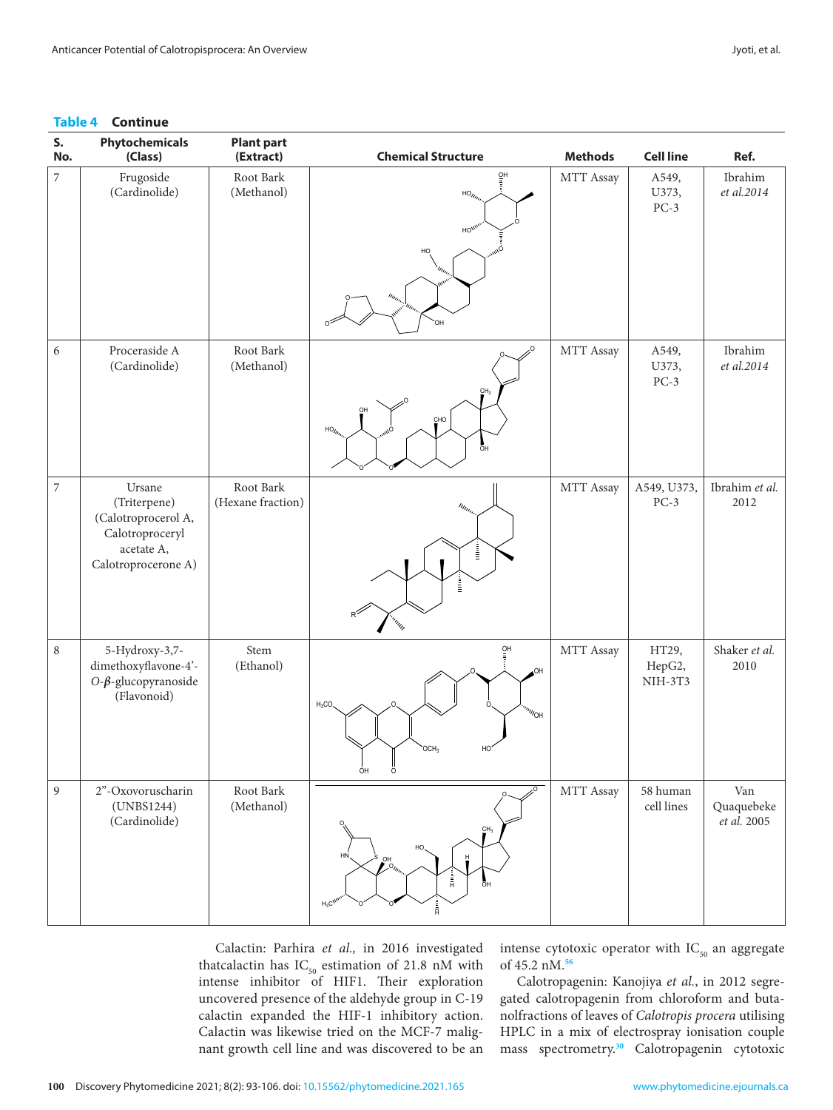#### **Table 4 Continue**

| S.<br>No.                | Phytochemicals<br>(Class)                                                                             | <b>Plant part</b><br>(Extract) | <b>Chemical Structure</b>                                                                                                             | <b>Methods</b> | <b>Cell line</b>           | Ref.                             |
|--------------------------|-------------------------------------------------------------------------------------------------------|--------------------------------|---------------------------------------------------------------------------------------------------------------------------------------|----------------|----------------------------|----------------------------------|
| $\overline{\phantom{a}}$ | Frugoside<br>(Cardinolide)                                                                            | Root Bark<br>(Methanol)        | $\frac{Q}{\overline{z}}$<br>$HO_{\ell_{\ell}}$<br>HO <sub>)</sub><br>HO<br>OН                                                         | MTT Assay      | A549,<br>U373,<br>$PC-3$   | Ibrahim<br>et al.2014            |
| 6                        | Proceraside A<br>(Cardinolide)                                                                        | Root Bark<br>(Methanol)        | CH <sub>3</sub><br>CHO<br>$HO_{II}$<br>őн                                                                                             | MTT Assay      | A549,<br>U373,<br>$PC-3$   | Ibrahim<br>et al.2014            |
| $\boldsymbol{7}$         | Ursane<br>(Triterpene)<br>(Calotroprocerol A,<br>Calotroproceryl<br>acetate A,<br>Calotroprocerone A) | Root Bark<br>(Hexane fraction) | $\eta_{\eta_{j}}$<br>i<br>İ<br><sup>ernin</sup> n                                                                                     | MTT Assay      | A549, U373,<br>$PC-3$      | Ibrahim et al.<br>2012           |
| $\,8\,$                  | 5-Hydroxy-3,7-<br>dimethoxyflavone-4'-<br>O- $\beta$ -glucopyranoside<br>(Flavonoid)                  | Stem<br>(Ethanol)              | $\frac{QH}{\Xi}$<br>HO.<br>$H_3CO$<br>$\mathrm{^{''\!W}\!O}\mathrm{H}$<br>OCH <sub>3</sub><br>HC<br>$\frac{1}{0}$ H<br>$\overline{0}$ | MTT Assay      | HT29,<br>HepG2,<br>NIH-3T3 | Shaker et al.<br>2010            |
| $\mathfrak{g}$           | 2"-Oxovoruscharin<br>(UNBS1244)<br>(Cardinolide)                                                      | Root Bark<br>(Methanol)        | CH <sub>3</sub><br>HO,<br>HN,<br>HO.<br>$\mathcal{O}_{m_{\alpha}}$<br>Å<br>ÖH<br>$H_3C^{WW}$<br>â,                                    | MTT Assay      | 58 human<br>cell lines     | Van<br>Quaquebeke<br>et al. 2005 |

Calactin: Parhira *et al.,* in 2016 investigated thatcalactin has  $IC_{50}$  estimation of 21.8 nM with intense inhibitor of HIF1. Their exploration uncovered presence of the aldehyde group in C-19 calactin expanded the HIF-1 inhibitory action. Calactin was likewise tried on the MCF-7 malignant growth cell line and was discovered to be an

intense cytotoxic operator with  $IC_{50}$  an aggregate of 45.2 nM.**[56](#page-12-0)**

Calotropagenin: Kanojiya *et al.*, in 2012 segregated calotropagenin from chloroform and butanolfractions of leaves of *Calotropis procera* utilising HPLC in a mix of electrospray ionisation couple mass spectrometry.**[30](#page-11-0)** Calotropagenin cytotoxic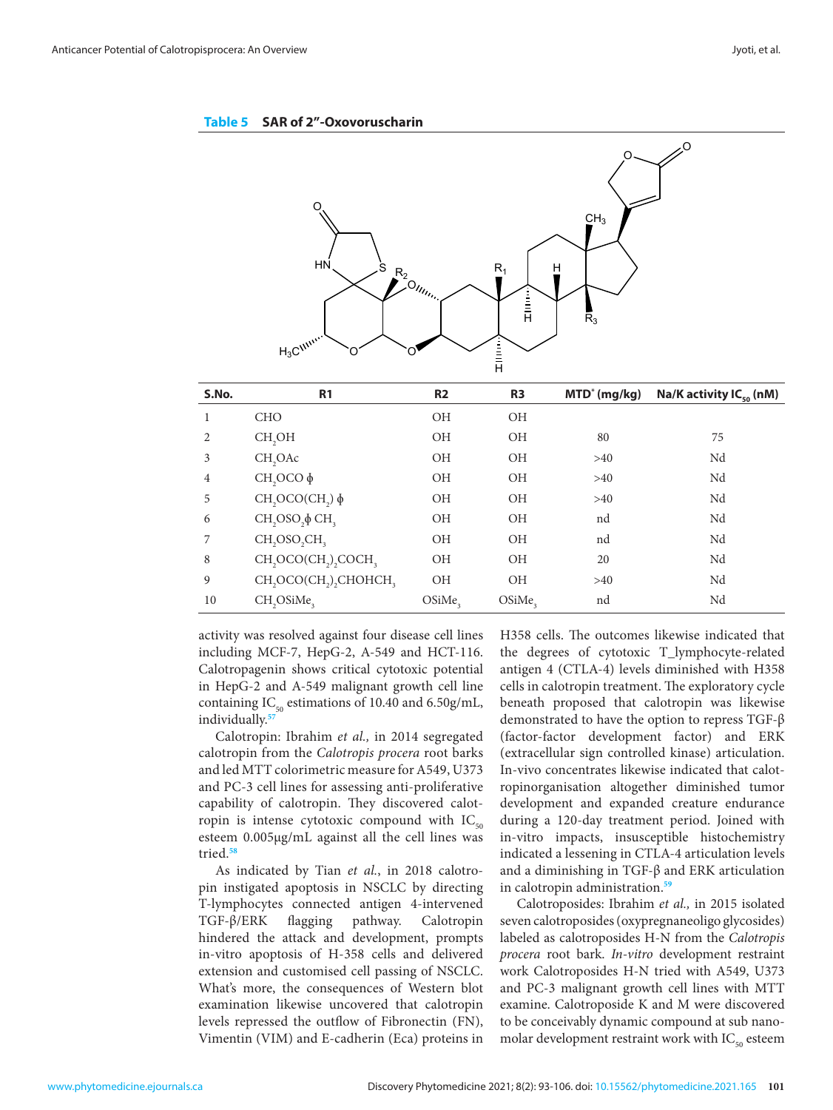<span id="page-8-0"></span>**Table 5 SAR of 2"-Oxovoruscharin**



| S.No.          | R <sub>1</sub>                                                         | R <sub>2</sub> | R <sub>3</sub> | MTD <sup>*</sup> (mg/kg) | Na/K activity $IC_{50}$ (nM) |
|----------------|------------------------------------------------------------------------|----------------|----------------|--------------------------|------------------------------|
|                | <b>CHO</b>                                                             | OH             | OH             |                          |                              |
| 2              | CH <sub>,</sub> OH                                                     | OH             | OH             | 80                       | 75                           |
| 3              | CH <sub>2</sub> OAc                                                    | OH             | OH             | >40                      | Nd                           |
| $\overline{4}$ | $CH,OCO \phi$                                                          | OH             | OH             | >40                      | Nd                           |
| 5              | $CH, OCO(CH, )$ $\phi$                                                 | OH             | ΟH             | >40                      | Nd                           |
| 6              | $CH$ , OSO, $\phi$ CH <sub>3</sub>                                     | OH             | OH             | nd                       | Nd                           |
| $\overline{7}$ | CH <sub>2</sub> OSO <sub>2</sub> CH <sub>2</sub>                       | OH             | <b>OH</b>      | nd                       | Nd                           |
| 8              | CH <sub>2</sub> OCO(CH <sub>2</sub> ) <sub>2</sub> COCH <sub>3</sub>   | OH             | OH             | 20                       | Nd                           |
| 9              | CH <sub>2</sub> OCO(CH <sub>2</sub> ) <sub>2</sub> CHOHCH <sub>3</sub> | <b>OH</b>      | <b>OH</b>      | >40                      | Nd                           |
| 10             | CH <sub>2</sub> OSiMe <sub>3</sub>                                     | OSiMe,         | OSiMe,         | nd                       | Nd                           |

activity was resolved against four disease cell lines H358 cells. The outcomes likewise indicated that including MCF-7, HepG-2, A-549 and HCT-116. Calotropagenin shows critical cytotoxic potential in HepG-2 and A-549 malignant growth cell line containing  $IC_{50}$  estimations of 10.40 and 6.50g/mL, beneath proposed that calotropin was likewise individually.**[57](#page-12-0)** including MCF-7, HepG-2, A-549 and HCT-116. the degrees of cytotoxic T\_lymphocyte-related calotropagemin shows critical cytotoxic potential antigen 4 (CTLA-4) levels diminished with F1558 in Calotropia treatment. The exploratory cycle

Calotropin: Ibrahim *et al.,* in 2014 segregated calotropin from the *Calotropis procera* root barks and led MTT colorimetric measure for A549, U373 and PC-3 cell lines for assessing anti-proliferative capability of calotropin. They discovered calotropin is intense cytotoxic compound with  $IC_{50}$ esteem 0.005μg/mL against all the cell lines was tried.**[58](#page-12-0)**

As indicated by Tian *et al.*, in 2018 calotropin instigated apoptosis in NSCLC by directing T-lymphocytes connected antigen 4-intervened TGF-β/ERK flagging pathway. Calotropin hindered the attack and development, prompts in-vitro apoptosis of H-358 cells and delivered extension and customised cell passing of NSCLC. What's more, the consequences of Western blot examination likewise uncovered that calotropin levels repressed the outflow of Fibronectin (FN), Vimentin (VIM) and E-cadherin (Eca) proteins in

H358 cells. The outcomes likewise indicated that antigen 4 (CTLA-4) levels diminished with H358 beneath proposed that calotropin was likewise demonstrated to have the option to repress TGF-β (factor-factor development factor) and ERK (extracellular sign controlled kinase) articulation. In-vivo concentrates likewise indicated that calotropinorganisation altogether diminished tumor development and expanded creature endurance during a 120-day treatment period. Joined with in-vitro impacts, insusceptible histochemistry indicated a lessening in CTLA-4 articulation levels and a diminishing in TGF-β and ERK articulation in calotropin administration.**[59](#page-12-0)**

Calotroposides: Ibrahim *et al.,* in 2015 isolated seven calotroposides (oxypregnaneoligo glycosides) labeled as calotroposides H-N from the *Calotropis procera* root bark. *In-vitro* development restraint work Calotroposides H-N tried with A549, U373 and PC-3 malignant growth cell lines with MTT examine. Calotroposide K and M were discovered to be conceivably dynamic compound at sub nanomolar development restraint work with  $IC_{50}$  esteem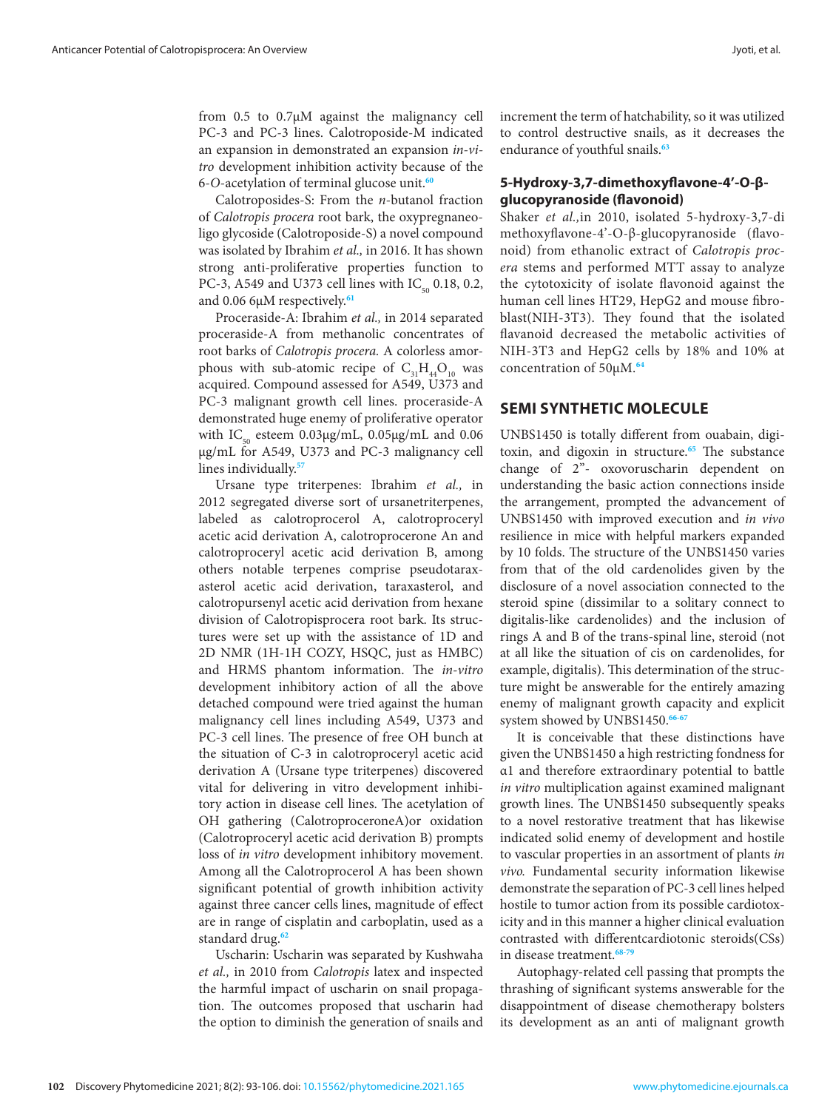from 0.5 to 0.7μM against the malignancy cell PC-3 and PC-3 lines. Calotroposide-M indicated an expansion in demonstrated an expansion *in-vitro* development inhibition activity because of the 6-*O*-acetylation of terminal glucose unit.**[60](#page-12-0)**

Calotroposides-S: From the *n*-butanol fraction of *Calotropis procera* root bark, the oxypregnaneoligo glycoside (Calotroposide-S) a novel compound was isolated by Ibrahim *et al.,* in 2016. It has shown strong anti-proliferative properties function to PC-3, A549 and U373 cell lines with  $IC_{50}$  0.18, 0.2, and 0.06 6μM respectively.**[61](#page-12-0)**

Proceraside-A: Ibrahim *et al.,* in 2014 separated proceraside-A from methanolic concentrates of root barks of *Calotropis procera.* A colorless amorphous with sub-atomic recipe of  $C_{31}H_{44}O_{10}$  was acquired. Compound assessed for A549, U373 and PC-3 malignant growth cell lines. proceraside-A demonstrated huge enemy of proliferative operator with IC<sub>50</sub> esteem 0.03μg/mL, 0.05μg/mL and 0.06 μg/mL for A549, U373 and PC-3 malignancy cell lines individually.**[57](#page-12-0)**

Ursane type triterpenes: Ibrahim *et al.,* in 2012 segregated diverse sort of ursanetriterpenes, labeled as calotroprocerol A, calotroproceryl acetic acid derivation A, calotroprocerone An and calotroproceryl acetic acid derivation B, among others notable terpenes comprise pseudotaraxasterol acetic acid derivation, taraxasterol, and calotropursenyl acetic acid derivation from hexane division of Calotropisprocera root bark. Its structures were set up with the assistance of 1D and 2D NMR (1H-1H COZY, HSQC, just as HMBC) and HRMS phantom information. The *in-vitro* development inhibitory action of all the above detached compound were tried against the human malignancy cell lines including A549, U373 and PC-3 cell lines. The presence of free OH bunch at the situation of C-3 in calotroproceryl acetic acid derivation A (Ursane type triterpenes) discovered vital for delivering in vitro development inhibitory action in disease cell lines. The acetylation of OH gathering (CalotroproceroneA)or oxidation (Calotroproceryl acetic acid derivation B) prompts loss of *in vitro* development inhibitory movement. Among all the Calotroprocerol A has been shown significant potential of growth inhibition activity against three cancer cells lines, magnitude of effect are in range of cisplatin and carboplatin, used as a standard drug.**[62](#page-12-0)**

Uscharin: Uscharin was separated by Kushwaha *et al.,* in 2010 from *Calotropis* latex and inspected the harmful impact of uscharin on snail propagation. The outcomes proposed that uscharin had the option to diminish the generation of snails and increment the term of hatchability, so it was utilized to control destructive snails, as it decreases the endurance of youthful snails.**[63](#page-12-0)**

## **5-Hydroxy-3,7-dimethoxyflavone-4'-O-βglucopyranoside (flavonoid)**

Shaker *et al.,*in 2010, isolated 5-hydroxy-3,7-di methoxyflavone-4'-O-β-glucopyranoside (flavonoid) from ethanolic extract of *Calotropis procera* stems and performed MTT assay to analyze the cytotoxicity of isolate flavonoid against the human cell lines HT29, HepG2 and mouse fibroblast(NIH-3T3). They found that the isolated flavanoid decreased the metabolic activities of NIH-3T3 and HepG2 cells by 18% and 10% at concentration of 50µM.**[64](#page-12-0)**

# **SEMI SYNTHETIC MOLECULE**

UNBS1450 is totally different from ouabain, digitoxin, and digoxin in structure.**[65](#page-12-0)** The substance change of 2"- oxovoruscharin dependent on understanding the basic action connections inside the arrangement, prompted the advancement of UNBS1450 with improved execution and *in vivo* resilience in mice with helpful markers expanded by 10 folds. The structure of the UNBS1450 varies from that of the old cardenolides given by the disclosure of a novel association connected to the steroid spine (dissimilar to a solitary connect to digitalis-like cardenolides) and the inclusion of rings A and B of the trans-spinal line, steroid (not at all like the situation of cis on cardenolides, for example, digitalis). This determination of the structure might be answerable for the entirely amazing enemy of malignant growth capacity and explicit system showed by UNBS1450.**[66-67](#page-12-0)**

It is conceivable that these distinctions have given the UNBS1450 a high restricting fondness for α1 and therefore extraordinary potential to battle *in vitro* multiplication against examined malignant growth lines. The UNBS1450 subsequently speaks to a novel restorative treatment that has likewise indicated solid enemy of development and hostile to vascular properties in an assortment of plants *in vivo.* Fundamental security information likewise demonstrate the separation of PC-3 cell lines helped hostile to tumor action from its possible cardiotoxicity and in this manner a higher clinical evaluation contrasted with differentcardiotonic steroids(CSs) in disease treatment.**[68-79](#page-12-0)**

Autophagy-related cell passing that prompts the thrashing of significant systems answerable for the disappointment of disease chemotherapy bolsters its development as an anti of malignant growth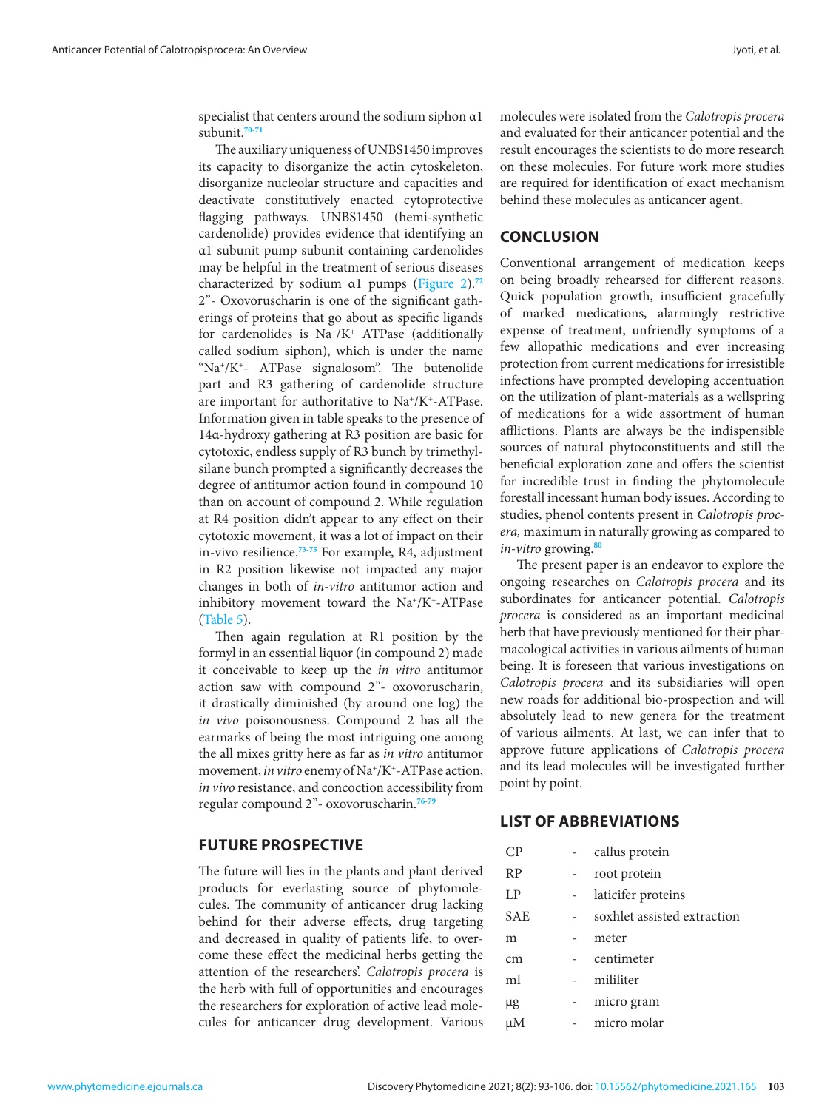specialist that centers around the sodium siphon α1 subunit.**[70-71](#page-12-0)**

The auxiliary uniqueness of UNBS1450 improves its capacity to disorganize the actin cytoskeleton, disorganize nucleolar structure and capacities and deactivate constitutively enacted cytoprotective flagging pathways. UNBS1450 (hemi-synthetic cardenolide) provides evidence that identifying an α1 subunit pump subunit containing cardenolides may be helpful in the treatment of serious diseases characterized by sodium α1 pumps (Figure 2).**[72](#page-12-0)** 2"- Oxovoruscharin is one of the significant gatherings of proteins that go about as specific ligands for cardenolides is  $Na^*/K^+$  ATPase (additionally called sodium siphon), which is under the name "Na+/K+- ATPase signalosom". The butenolide part and R3 gathering of cardenolide structure are important for authoritative to Na+/K+-ATPase. Information given in table speaks to the presence of 14α-hydroxy gathering at R3 position are basic for cytotoxic, endless supply of R3 bunch by trimethylsilane bunch prompted a significantly decreases the degree of antitumor action found in compound 10 than on account of compound 2. While regulation at R4 position didn't appear to any effect on their cytotoxic movement, it was a lot of impact on their in-vivo resilience.**[73](#page-12-0)[-75](#page-13-0)** For example, R4, adjustment in R2 position likewise not impacted any major changes in both of *in-vitro* antitumor action and inhibitory movement toward the  $Na^+/K^+$ -ATPase [\(Table 5\)](#page-8-0).

Then again regulation at R1 position by the formyl in an essential liquor (in compound 2) made it conceivable to keep up the *in vitro* antitumor action saw with compound 2"- oxovoruscharin, it drastically diminished (by around one log) the *in vivo* poisonousness. Compound 2 has all the earmarks of being the most intriguing one among the all mixes gritty here as far as *in vitro* antitumor movement, *in vitro* enemy of Na<sup>+</sup>/K<sup>+</sup>-ATPase action, *in vivo* resistance, and concoction accessibility from regular compound 2"- oxovoruscharin.**[76-79](#page-13-0)**

## **FUTURE PROSPECTIVE**

The future will lies in the plants and plant derived products for everlasting source of phytomolecules. The community of anticancer drug lacking behind for their adverse effects, drug targeting and decreased in quality of patients life, to overcome these effect the medicinal herbs getting the attention of the researchers'. *Calotropis procera* is the herb with full of opportunities and encourages the researchers for exploration of active lead molecules for anticancer drug development. Various molecules were isolated from the *Calotropis procera* and evaluated for their anticancer potential and the result encourages the scientists to do more research on these molecules. For future work more studies are required for identification of exact mechanism behind these molecules as anticancer agent.

## **CONCLUSION**

Conventional arrangement of medication keeps on being broadly rehearsed for different reasons. Quick population growth, insufficient gracefully of marked medications, alarmingly restrictive expense of treatment, unfriendly symptoms of a few allopathic medications and ever increasing protection from current medications for irresistible infections have prompted developing accentuation on the utilization of plant-materials as a wellspring of medications for a wide assortment of human afflictions. Plants are always be the indispensible sources of natural phytoconstituents and still the beneficial exploration zone and offers the scientist for incredible trust in finding the phytomolecule forestall incessant human body issues. According to studies, phenol contents present in *Calotropis procera,* maximum in naturally growing as compared to *in-vitro* growing.**[80](#page-13-0)**

The present paper is an endeavor to explore the ongoing researches on *Calotropis procera* and its subordinates for anticancer potential. *Calotropis procera* is considered as an important medicinal herb that have previously mentioned for their pharmacological activities in various ailments of human being. It is foreseen that various investigations on *Calotropis procera* and its subsidiaries will open new roads for additional bio-prospection and will absolutely lead to new genera for the treatment of various ailments. At last, we can infer that to approve future applications of *Calotropis procera* and its lead molecules will be investigated further point by point.

## **LIST OF ABBREVIATIONS**

| CP         | callus protein              |
|------------|-----------------------------|
| <b>RP</b>  | root protein                |
| LP         | laticifer proteins          |
| <b>SAE</b> | soxhlet assisted extraction |
| m          | meter                       |
| cm         | centimeter                  |
| ml         | mililiter                   |
| μg         | micro gram                  |
| μM         | micro molar                 |
|            |                             |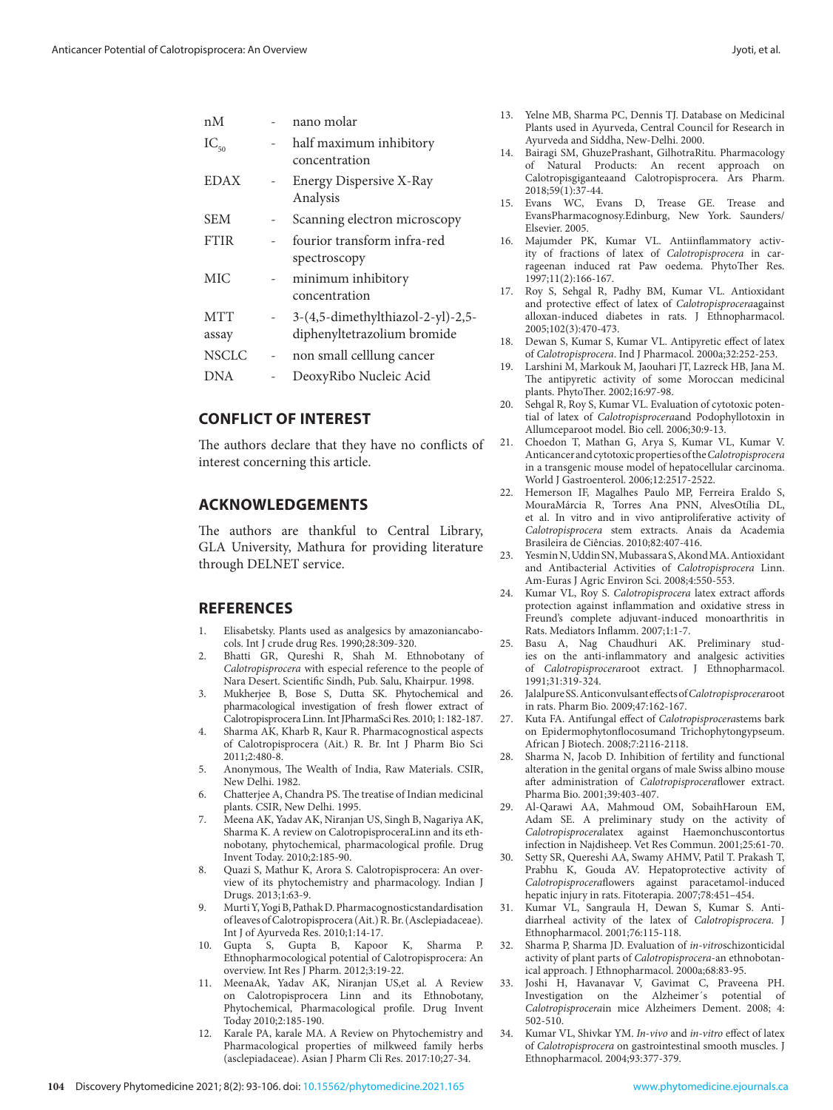<span id="page-11-0"></span>

| пM                  |        | nano molar                                                       |
|---------------------|--------|------------------------------------------------------------------|
| $IC_{50}$           |        | half maximum inhibitory<br>concentration                         |
| <b>EDAX</b>         |        | Energy Dispersive X-Ray<br>Analysis                              |
| <b>SEM</b>          |        | Scanning electron microscopy                                     |
| <b>FTIR</b>         |        | fourior transform infra-red<br>spectroscopy                      |
| MIC                 |        | minimum inhibitory<br>concentration                              |
| <b>MTT</b><br>assay | $\sim$ | 3-(4,5-dimethylthiazol-2-yl)-2,5-<br>diphenyltetrazolium bromide |
| <b>NSCLC</b>        |        | non small celllung cancer                                        |
| <b>DNA</b>          |        | DeoxyRibo Nucleic Acid                                           |
|                     |        |                                                                  |

# **CONFLICT OF INTEREST**

The authors declare that they have no conflicts of interest concerning this article.

## **ACKNOWLEDGEMENTS**

The authors are thankful to Central Library, GLA University, Mathura for providing literature through DELNET service.

## **REFERENCES**

- 1. Elisabetsky. Plants used as analgesics by amazoniancabocols. Int J crude drug Res. 1990;28:309-320.
- 2. Bhatti GR, Qureshi R, Shah M. Ethnobotany of *Calotropisprocera* with especial reference to the people of Nara Desert. Scientific Sindh, Pub. Salu, Khairpur. 1998.
- 3. Mukherjee B, Bose S, Dutta SK. Phytochemical and pharmacological investigation of fresh flower extract of Calotropisprocera Linn. Int JPharmaSci Res. 2010; 1: 182-187.
- 4. Sharma AK, Kharb R, Kaur R. Pharmacognostical aspects of Calotropisprocera (Ait.) R. Br. Int J Pharm Bio Sci 2011;2:480-8.
- 5. Anonymous, The Wealth of India, Raw Materials. CSIR, New Delhi. 1982.
- 6. Chatterjee A, Chandra PS. The treatise of Indian medicinal plants. CSIR, New Delhi. 1995.
- 7. Meena AK, Yadav AK, Niranjan US, Singh B, Nagariya AK, Sharma K. A review on CalotropisproceraLinn and its ethnobotany, phytochemical, pharmacological profile. Drug Invent Today. 2010;2:185-90.
- 8. Quazi S, Mathur K, Arora S. Calotropisprocera: An overview of its phytochemistry and pharmacology. Indian J Drugs. 2013;1:63-9.
- 9. Murti Y, Yogi B, Pathak D. Pharmacognosticstandardisation of leaves of Calotropisprocera (Ait.) R. Br. (Asclepiadaceae). Int J of Ayurveda Res. 2010;1:14-17.
- 10. Gupta S, Gupta B, Kapoor K, Sharma P. Ethnopharmocological potential of Calotropisprocera: An overview. Int Res J Pharm. 2012;3:19-22.
- 11. MeenaAk, Yadav AK, Niranjan US,et al*.* A Review on Calotropisprocera Linn and its Ethnobotany, Phytochemical, Pharmacological profile. Drug Invent Today 2010;2:185-190.
- 12. Karale PA, karale MA. A Review on Phytochemistry and Pharmacological properties of milkweed family herbs (asclepiadaceae). Asian J Pharm Cli Res. 2017:10;27-34.
- 13. Yelne MB, Sharma PC, Dennis TJ. Database on Medicinal Plants used in Ayurveda, Central Council for Research in Ayurveda and Siddha, New-Delhi. 2000.
- 14. Bairagi SM, GhuzePrashant, GilhotraRitu. Pharmacology of Natural Products: An recent approach on Calotropisgiganteaand Calotropisprocera. Ars Pharm. 2018;59(1):37-44.
- 15. Evans WC, Evans D, Trease GE. Trease and EvansPharmacognosy.Edinburg, New York. Saunders/ Elsevier. 2005.
- 16. Majumder PK, Kumar VL. Antiinflammatory activity of fractions of latex of *Calotropisprocera* in carrageenan induced rat Paw oedema. PhytoTher Res. 1997;11(2):166-167.
- 17. Roy S, Sehgal R, Padhy BM, Kumar VL. Antioxidant and protective effect of latex of *Calotropisprocera*against alloxan-induced diabetes in rats. J Ethnopharmacol. 2005;102(3):470-473.
- 18. Dewan S, Kumar S, Kumar VL. Antipyretic effect of latex of *Calotropisprocera*. Ind J Pharmacol. 2000a;32:252-253.
- 19. Larshini M, Markouk M, Jaouhari JT, Lazreck HB, Jana M. The antipyretic activity of some Moroccan medicinal plants. PhytoTher. 2002;16:97-98.
- 20. Sehgal R, Roy S, Kumar VL. Evaluation of cytotoxic potential of latex of *Calotropisprocera*and Podophyllotoxin in Allumceparoot model. Bio cell. 2006;30:9-13.
- 21. Choedon T, Mathan G, Arya S, Kumar VL, Kumar V. Anticancer and cytotoxic properties of the *Calotropisprocera* in a transgenic mouse model of hepatocellular carcinoma. World J Gastroenterol. 2006;12:2517-2522.
- 22. Hemerson IF, Magalhes Paulo MP, Ferreira Eraldo S, MouraMárcia R, Torres Ana PNN, AlvesOtília DL, et al. In vitro and in vivo antiproliferative activity of *Calotropisprocera* stem extracts. Anais da Academia Brasileira de Ciências. 2010;82:407-416.
- 23. Yesmin N, Uddin SN, Mubassara S, Akond MA. Antioxidant and Antibacterial Activities of *Calotropisprocera* Linn. Am-Euras J Agric Environ Sci. 2008;4:550-553.
- 24. Kumar VL, Roy S. *Calotropisprocera* latex extract affords protection against inflammation and oxidative stress in Freund's complete adjuvant-induced monoarthritis in Rats. Mediators Inflamm. 2007;1:1-7.
- 25. Basu A, Nag Chaudhuri AK. Preliminary studies on the anti-inflammatory and analgesic activities of *Calotropisprocera*root extract. J Ethnopharmacol. 1991;31:319-324.
- 26. Jalalpure SS. Anticonvulsant effects of *Calotropisprocera*root in rats. Pharm Bio. 2009;47:162-167.
- 27. Kuta FA. Antifungal effect of *Calotropisprocera*stems bark on Epidermophytonflocosumand Trichophytongypseum. African J Biotech. 2008;7:2116-2118.
- 28. Sharma N, Jacob D. Inhibition of fertility and functional alteration in the genital organs of male Swiss albino mouse after administration of *Calotropisprocera*flower extract. Pharma Bio. 2001;39:403-407.
- 29. Al-Qarawi AA, Mahmoud OM, SobaihHaroun EM, Adam SE. A preliminary study on the activity of *Calotropisprocera*latex against Haemonchuscontortus infection in Najdisheep. Vet Res Commun. 2001;25:61-70.
- 30. Setty SR, Quereshi AA, Swamy AHMV, Patil T. Prakash T, Prabhu K, Gouda AV. Hepatoprotective activity of *Calotropisprocera*flowers against paracetamol-induced hepatic injury in rats. Fitoterapia. 2007;78:451–454.
- 31. Kumar VL, Sangraula H, Dewan S, Kumar S. Antidiarrheal activity of the latex of *Calotropisprocera*. J Ethnopharmacol. 2001;76:115-118.
- 32. Sharma P, Sharma JD. Evaluation of *in-vitro*schizonticidal activity of plant parts of *Calotropisprocera*-an ethnobotanical approach. J Ethnopharmacol. 2000a;68:83-95.
- 33. Joshi H, Havanavar V, Gavimat C, Praveena PH. Investigation on the Alzheimer´s potential of *Calotropisprocera*in mice Alzheimers Dement. 2008; 4: 502-510.
- 34. Kumar VL, Shivkar YM. *In-vivo* and *in-vitro* effect of latex of *Calotropisprocera* on gastrointestinal smooth muscles. J Ethnopharmacol. 2004;93:377-379.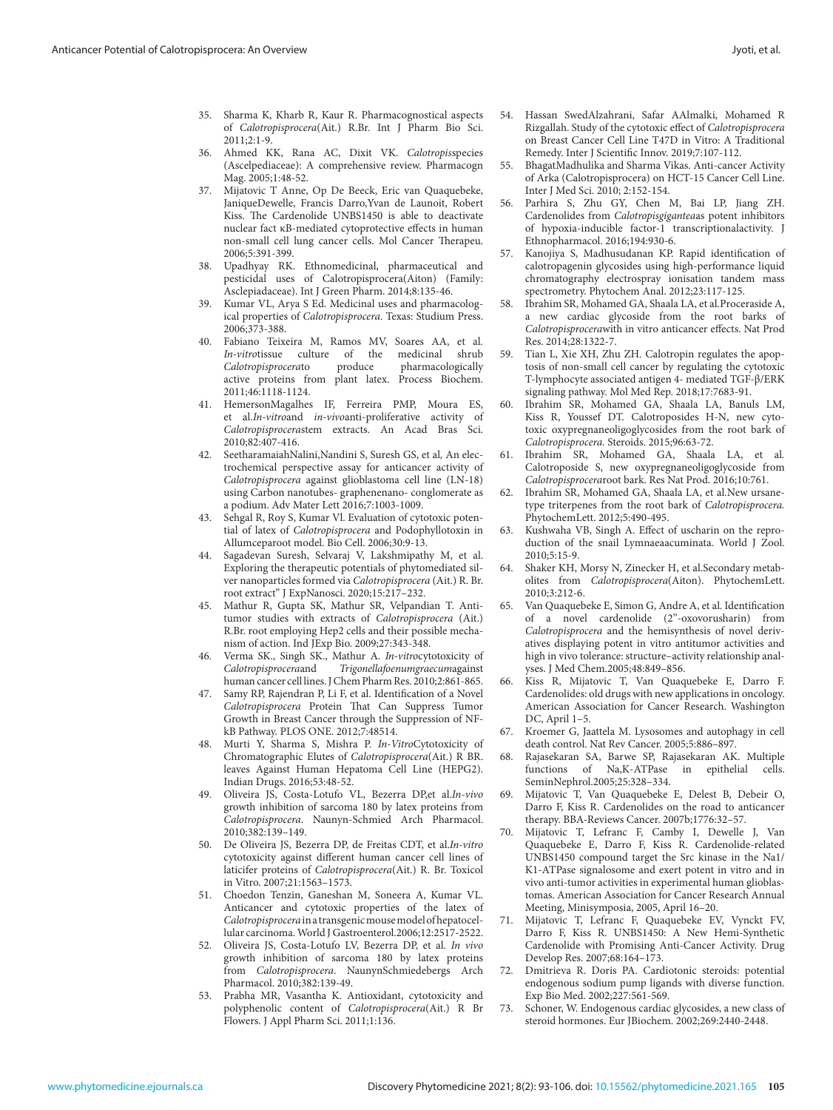- <span id="page-12-0"></span>35. Sharma K, Kharb R, Kaur R. Pharmacognostical aspects of *Calotropisprocera*(Ait.) R.Br. Int J Pharm Bio Sci. 2011;2:1-9.
- 36. Ahmed KK, Rana AC, Dixit VK. *Calotropis*species (Ascelpediaceae): A comprehensive review. Pharmacogn Mag. 2005;1:48-52.
- 37. Mijatovic T Anne, Op De Beeck, Eric van Quaquebeke, JaniqueDewelle, Francis Darro,Yvan de Launoit, Robert Kiss. The Cardenolide UNBS1450 is able to deactivate nuclear fact κB-mediated cytoprotective effects in human non-small cell lung cancer cells. Mol Cancer Therapeu. 2006;5:391-399.
- 38. Upadhyay RK. Ethnomedicinal, pharmaceutical and pesticidal uses of Calotropisprocera(Aiton) (Family: Asclepiadaceae). Int J Green Pharm. 2014;8:135-46.
- 39. Kumar VL, Arya S Ed. Medicinal uses and pharmacological properties of *Calotropisprocera*. Texas: Studium Press. 2006;373-388.
- 40. Fabiano Teixeira M, Ramos MV, Soares AA, et al*. In-vitro*tissue culture of the medicinal shrub *Calotropisprocera*to produce pharmacologically active proteins from plant latex. Process Biochem. 2011;46:1118-1124.
- 41. HemersonMagalhes IF, Ferreira PMP, Moura ES, et al.*In-vitro*and *in-vivo*anti-proliferative activity of *Calotropisprocera*stem extracts. An Acad Bras Sci. 2010;82:407-416.
- 42. SeetharamaiahNalini,Nandini S, Suresh GS, et al*,* An electrochemical perspective assay for anticancer activity of *Calotropisprocera* against glioblastoma cell line (LN-18) using Carbon nanotubes- graphenenano- conglomerate as a podium. Adv Mater Lett 2016;7:1003-1009.
- 43. Sehgal R, Roy S, Kumar Vl. Evaluation of cytotoxic potential of latex of *Calotropisprocera* and Podophyllotoxin in Allumceparoot model. Bio Cell. 2006;30:9-13.
- 44. Sagadevan Suresh, Selvaraj V, Lakshmipathy M, et al. Exploring the therapeutic potentials of phytomediated silver nanoparticles formed via *Calotropisprocera* (Ait.) R. Br. root extract" J ExpNanosci. 2020;15:217–232.
- 45. Mathur R, Gupta SK, Mathur SR, Velpandian T. Antitumor studies with extracts of *Calotropisprocera* (Ait.) R.Br. root employing Hep2 cells and their possible mechanism of action. Ind JExp Bio. 2009;27:343-348.
- 46. Verma SK., Singh SK., Mathur A. *In-vitro*cytotoxicity of *Calotropisprocera*and *Trigonellafoenumgraecum*against human cancer cell lines. J Chem Pharm Res. 2010;2:861-865.
- 47. Samy RP, Rajendran P, Li F, et al. Identification of a Novel *Calotropisprocera* Protein That Can Suppress Tumor Growth in Breast Cancer through the Suppression of NFkB Pathway. PLOS ONE. 2012;7:48514.
- 48. Murti Y, Sharma S, Mishra P. *In-Vitro*Cytotoxicity of Chromatographic Elutes of *Calotropisprocera*(Ait.) R BR. leaves Against Human Hepatoma Cell Line (HEPG2). Indian Drugs. 2016;53:48-52.
- 49. Oliveira JS, Costa-Lotufo VL, Bezerra DP,et al.*In-vivo* growth inhibition of sarcoma 180 by latex proteins from *Calotropisprocera*. Naunyn-Schmied Arch Pharmacol. 2010;382:139–149.
- 50. De Oliveira JS, Bezerra DP, de Freitas CDT, et al.*In-vitro* cytotoxicity against different human cancer cell lines of laticifer proteins of *Calotropisprocera*(Ait.) R. Br. Toxicol in Vitro. 2007;21:1563–1573.
- 51. Choedon Tenzin, Ganeshan M, Soneera A, Kumar VL. Anticancer and cytotoxic properties of the latex of *Calotropisprocera* in a transgenic mouse model of hepatocellular carcinoma. World J Gastroenterol.2006;12:2517-2522.
- 52. Oliveira JS, Costa-Lotufo LV, Bezerra DP, et al. *In vivo*  growth inhibition of sarcoma 180 by latex proteins from *Calotropisprocera*. NaunynSchmiedebergs Arch Pharmacol. 2010;382:139-49.
- 53. Prabha MR, Vasantha K. Antioxidant, cytotoxicity and polyphenolic content of *Calotropisprocera*(Ait.) R Br Flowers. J Appl Pharm Sci. 2011;1:136.
- 54. Hassan SwedAlzahrani, Safar AAlmalki, Mohamed R Rizgallah. Study of the cytotoxic effect of *Calotropisprocera* on Breast Cancer Cell Line T47D in Vitro: A Traditional Remedy. Inter J Scientific Innov. 2019;7:107-112.
- 55. BhagatMadhulika and Sharma Vikas. Anti-cancer Activity of Arka (Calotropisprocera) on HCT-15 Cancer Cell Line. Inter J Med Sci. 2010; 2:152-154.
- 56. Parhira S, Zhu GY, Chen M, Bai LP, Jiang ZH. Cardenolides from *Calotropisgigantea*as potent inhibitors of hypoxia-inducible factor-1 transcriptionalactivity. J Ethnopharmacol. 2016;194:930-6.
- 57. Kanojiya S, Madhusudanan KP. Rapid identification of calotropagenin glycosides using high-performance liquid chromatography electrospray ionisation tandem mass spectrometry. Phytochem Anal. 2012;23:117-125.
- 58. Ibrahim SR, Mohamed GA, Shaala LA, et al*.*Proceraside A, a new cardiac glycoside from the root barks of *Calotropisprocera*with in vitro anticancer effects. Nat Prod Res. 2014;28:1322-7.
- 59. Tian L, Xie XH, Zhu ZH. Calotropin regulates the apoptosis of non-small cell cancer by regulating the cytotoxic T-lymphocyte associated antigen 4- mediated TGF-β/ERK signaling pathway. Mol Med Rep. 2018;17:7683-91.
- 60. Ibrahim SR, Mohamed GA, Shaala LA, Banuls LM, Kiss R, Youssef DT. Calotroposides H-N, new cytotoxic oxypregnaneoligoglycosides from the root bark of *Calotropisprocera.* Steroids. 2015;96:63-72.
- Ibrahim SR, Mohamed GA, Shaala LA, et al. Calotroposide S, new oxypregnaneoligoglycoside from *Calotropisprocera*root bark. Res Nat Prod. 2016;10:761.
- 62. Ibrahim SR, Mohamed GA, Shaala LA, et al*.*New ursanetype triterpenes from the root bark of *Calotropisprocera.* PhytochemLett. 2012;5:490-495.
- 63. Kushwaha VB, Singh A. Effect of uscharin on the reproduction of the snail Lymnaeaacuminata. World J Zool. 2010;5:15-9.
- 64. Shaker KH, Morsy N, Zinecker H, et al.Secondary metabolites from *Calotropisprocera*(Aiton). PhytochemLett. 2010;3:212-6.
- 65. Van Quaquebeke E, Simon G, Andre A, et al. Identification of a novel cardenolide (2''-oxovorusharin) from *Calotropisprocera* and the hemisynthesis of novel derivatives displaying potent in vitro antitumor activities and high in vivo tolerance: structure–activity relationship analyses. J Med Chem.2005;48:849–856.
- 66. Kiss R, Mijatovic T, Van Quaquebeke E, Darro F. Cardenolides: old drugs with new applications in oncology. American Association for Cancer Research. Washington DC, April 1–5.
- Kroemer G, Jaattela M. Lysosomes and autophagy in cell death control. Nat Rev Cancer. 2005;5:886–897.
- 68. Rajasekaran SA, Barwe SP, Rajasekaran AK. Multiple functions of Na, K-ATPase SeminNephrol.2005;25:328–334.
- 69. Mijatovic T, Van Quaquebeke E, Delest B, Debeir O, Darro F, Kiss R. Cardenolides on the road to anticancer therapy. BBA-Reviews Cancer. 2007b;1776:32–57.
- Mijatovic T, Lefranc F, Camby I, Dewelle J, Van Quaquebeke E, Darro F, Kiss R. Cardenolide-related UNBS1450 compound target the Src kinase in the Na1/ K1-ATPase signalosome and exert potent in vitro and in vivo anti-tumor activities in experimental human glioblastomas. American Association for Cancer Research Annual Meeting, Minisymposia, 2005, April 16–20.
- 71. Mijatovic T, Lefranc F, Quaquebeke EV, Vynckt FV, Darro F, Kiss R. UNBS1450: A New Hemi-Synthetic Cardenolide with Promising Anti-Cancer Activity. Drug Develop Res. 2007;68:164–173.
- 72. Dmitrieva R. Doris PA. Cardiotonic steroids: potential endogenous sodium pump ligands with diverse function. Exp Bio Med. 2002;227:561-569.
- 73. Schoner, W. Endogenous cardiac glycosides, a new class of steroid hormones. Eur JBiochem. 2002;269:2440-2448.